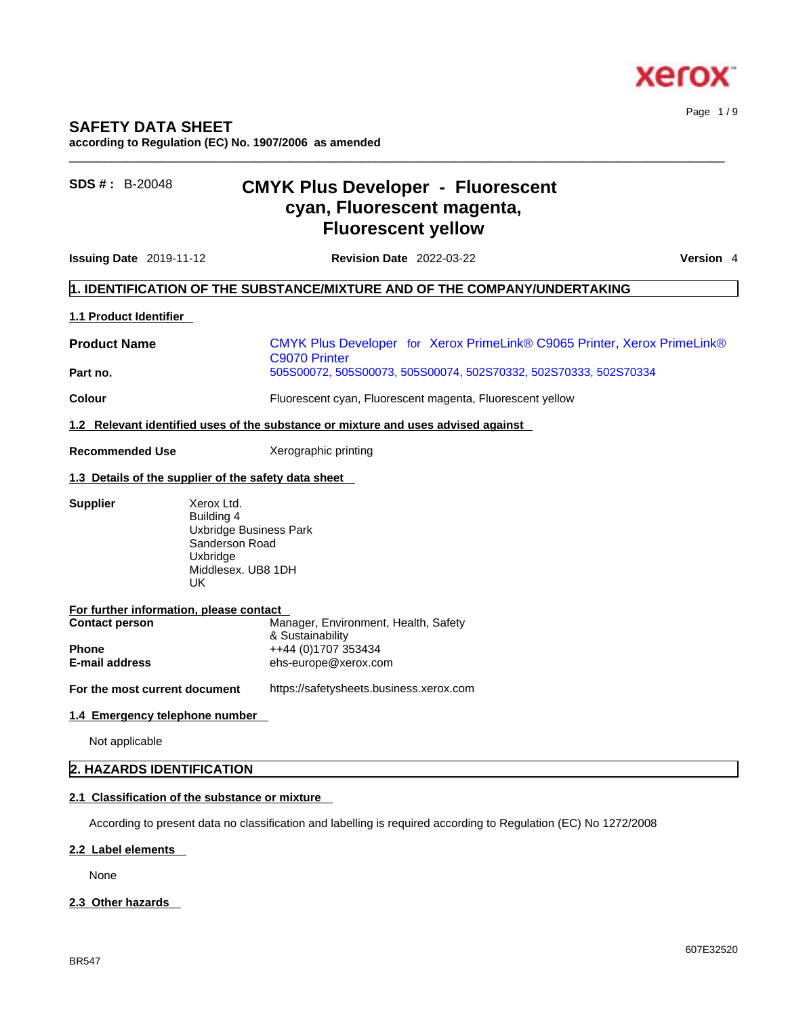

Page 1 / 9

# **SAFETY DATA SHEET**

**according to Regulation (EC) No. 1907/2006 as amended** 

# **SDS # :** B-20048 **CMYK Plus Developer - Fluorescent cyan, Fluorescent magenta, Fluorescent yellow**

**Issuing Date** 2019-11-12 **Revision Date** 2022-03-22 **Version** 4

 $\_$  ,  $\_$  ,  $\_$  ,  $\_$  ,  $\_$  ,  $\_$  ,  $\_$  ,  $\_$  ,  $\_$  ,  $\_$  ,  $\_$  ,  $\_$  ,  $\_$  ,  $\_$  ,  $\_$  ,  $\_$  ,  $\_$  ,  $\_$  ,  $\_$  ,  $\_$  ,  $\_$  ,  $\_$  ,  $\_$  ,  $\_$  ,  $\_$  ,  $\_$  ,  $\_$  ,  $\_$  ,  $\_$  ,  $\_$  ,  $\_$  ,  $\_$  ,  $\_$  ,  $\_$  ,  $\_$  ,  $\_$  ,  $\_$  ,

# **1. IDENTIFICATION OF THE SUBSTANCE/MIXTURE AND OF THE COMPANY/UNDERTAKING**

## **1.1 Product Identifier**

**Product Name** CMYK Plus Developer for Xerox PrimeLink® C9065 Printer, Xerox PrimeLink® C9070 Printer **Part no.** 505S00072, 505S00073, 505S00074, 502S70332, 502S70333, 502S70334

**Colour** Fluorescent cyan, Fluorescent magenta, Fluorescent yellow

**1.2 Relevant identified uses of the substance or mixture and uses advised against**

**Recommended Use** Xerographic printing

### **1.3 Details of the supplier of the safety data sheet**

**Supplier** Xerox Ltd.

Building 4 Uxbridge Business Park Sanderson Road Uxbridge Middlesex. UB8 1DH UK

| For further information, please contact |                                      |
|-----------------------------------------|--------------------------------------|
| <b>Contact person</b>                   | Manager, Environment, Health, Safety |
|                                         | & Sustainability                     |
| <b>Phone</b>                            | ++44 (0)1707 353434                  |
| <b>E-mail address</b>                   | ehs-europe@xerox.com                 |
|                                         |                                      |

**For the most current document** https://safetysheets.business.xerox.com

### **1.4 Emergency telephone number**

Not applicable

# **2. HAZARDS IDENTIFICATION**

# **2.1 Classification of the substance or mixture**

According to present data no classification and labelling is required according to Regulation (EC) No 1272/2008

#### **2.2 Label elements**

None

### **2.3 Other hazards**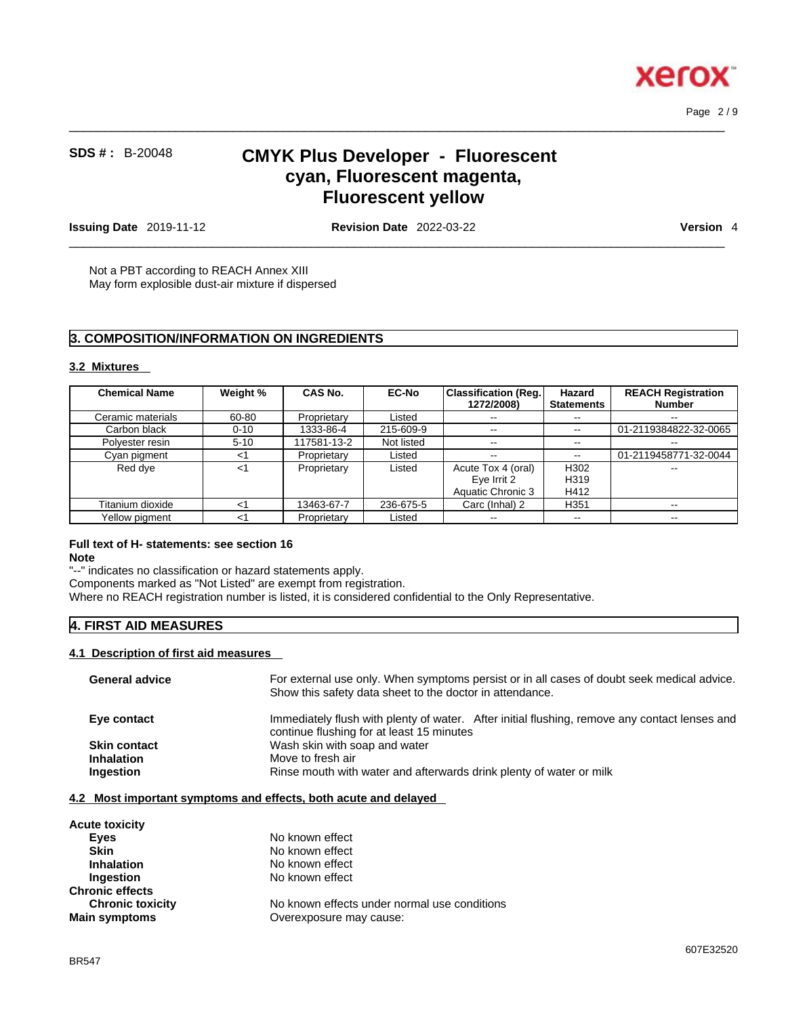

 $\_$  ,  $\_$  ,  $\_$  ,  $\_$  ,  $\_$  ,  $\_$  ,  $\_$  ,  $\_$  ,  $\_$  ,  $\_$  ,  $\_$  ,  $\_$  ,  $\_$  ,  $\_$  ,  $\_$  ,  $\_$  ,  $\_$  ,  $\_$  ,  $\_$  ,  $\_$  ,  $\_$  ,  $\_$  ,  $\_$  ,  $\_$  ,  $\_$  ,  $\_$  ,  $\_$  ,  $\_$  ,  $\_$  ,  $\_$  ,  $\_$  ,  $\_$  ,  $\_$  ,  $\_$  ,  $\_$  ,  $\_$  ,  $\_$  ,

# **SDS # :** B-20048 **CMYK Plus Developer - Fluorescent cyan, Fluorescent magenta, Fluorescent yellow**

**Issuing Date** 2019-11-12 **Revision Date** 2022-03-22 **Version** 4

 $\_$  ,  $\_$  ,  $\_$  ,  $\_$  ,  $\_$  ,  $\_$  ,  $\_$  ,  $\_$  ,  $\_$  ,  $\_$  ,  $\_$  ,  $\_$  ,  $\_$  ,  $\_$  ,  $\_$  ,  $\_$  ,  $\_$  ,  $\_$  ,  $\_$  ,  $\_$  ,  $\_$  ,  $\_$  ,  $\_$  ,  $\_$  ,  $\_$  ,  $\_$  ,  $\_$  ,  $\_$  ,  $\_$  ,  $\_$  ,  $\_$  ,  $\_$  ,  $\_$  ,  $\_$  ,  $\_$  ,  $\_$  ,  $\_$  ,

Page 2 / 9

Not a PBT according to REACH Annex XIII May form explosible dust-air mixture if dispersed

# **3. COMPOSITION/INFORMATION ON INGREDIENTS**

## **3.2 Mixtures**

| <b>Chemical Name</b> | Weight % | <b>CAS No.</b> | <b>EC-No</b> | Classification (Req.)<br>1272/2008)                    | Hazard<br><b>Statements</b> | <b>REACH Registration</b><br><b>Number</b> |
|----------------------|----------|----------------|--------------|--------------------------------------------------------|-----------------------------|--------------------------------------------|
| Ceramic materials    | 60-80    | Proprietary    | Listed       | $\sim$ $\sim$                                          | $\overline{\phantom{m}}$    | $\sim$ $\sim$                              |
| Carbon black         | $0 - 10$ | 1333-86-4      | 215-609-9    | $\sim$ $\sim$                                          |                             | 01-2119384822-32-0065                      |
| Polyester resin      | $5 - 10$ | 117581-13-2    | Not listed   | $\sim$ $-$                                             | $\overline{\phantom{m}}$    | $\overline{\phantom{m}}$                   |
| Cyan pigment         | ا>       | Proprietary    | Listed       | $\overline{\phantom{m}}$                               | $\overline{\phantom{m}}$    | 01-2119458771-32-0044                      |
| Red dye              | $<$ 1    | Proprietary    | Listed       | Acute Tox 4 (oral)<br>Eye Irrit 2<br>Aquatic Chronic 3 | H302<br>H319<br>H412        |                                            |
| Titanium dioxide     | $<$ 1    | 13463-67-7     | 236-675-5    | Carc (Inhal) 2                                         | H <sub>351</sub>            | --                                         |
| Yellow pigment       | ا>       | Proprietary    | Listed       | $- -$                                                  | $\overline{\phantom{m}}$    | $- -$                                      |

# **Full text of H- statements: see section 16**

#### **Note**

"--" indicates no classification or hazard statements apply. Components marked as "Not Listed" are exempt from registration. Where no REACH registration number is listed, it is considered confidential to the Only Representative.

## **4. FIRST AID MEASURES**

#### **4.1 Description of first aid measures**

| <b>General advice</b> | For external use only. When symptoms persist or in all cases of doubt seek medical advice.<br>Show this safety data sheet to the doctor in attendance. |  |  |
|-----------------------|--------------------------------------------------------------------------------------------------------------------------------------------------------|--|--|
| Eye contact           | Immediately flush with plenty of water. After initial flushing, remove any contact lenses and<br>continue flushing for at least 15 minutes             |  |  |
| <b>Skin contact</b>   | Wash skin with soap and water                                                                                                                          |  |  |
| <b>Inhalation</b>     | Move to fresh air                                                                                                                                      |  |  |
| Ingestion             | Rinse mouth with water and afterwards drink plenty of water or milk                                                                                    |  |  |
|                       |                                                                                                                                                        |  |  |

## **4.2 Most important symptoms and effects, both acute and delayed**

| <b>Acute toxicity</b>   |                                              |
|-------------------------|----------------------------------------------|
| Eyes                    | No known effect                              |
| <b>Skin</b>             | No known effect                              |
| <b>Inhalation</b>       | No known effect                              |
| <b>Ingestion</b>        | No known effect                              |
| <b>Chronic effects</b>  |                                              |
| <b>Chronic toxicity</b> | No known effects under normal use conditions |
| <b>Main symptoms</b>    | Overexposure may cause:                      |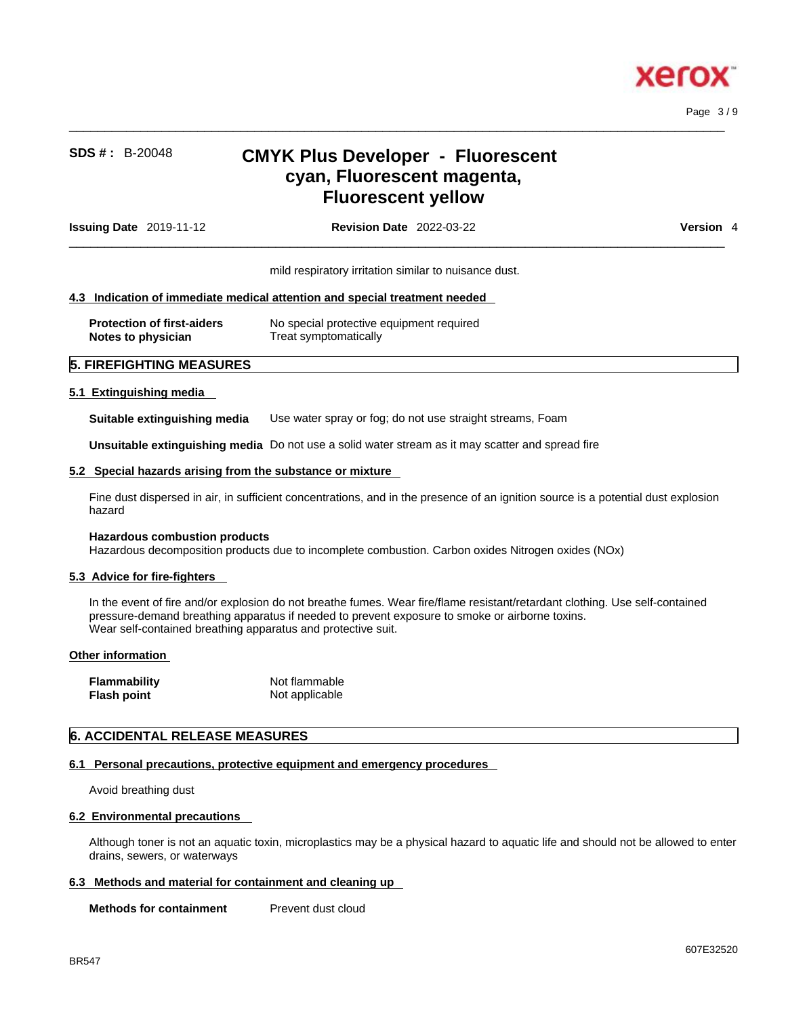

Page 3 / 9

# **SDS # :** B-20048 **CMYK Plus Developer - Fluorescent cyan, Fluorescent magenta, Fluorescent yellow**

 $\_$  ,  $\_$  ,  $\_$  ,  $\_$  ,  $\_$  ,  $\_$  ,  $\_$  ,  $\_$  ,  $\_$  ,  $\_$  ,  $\_$  ,  $\_$  ,  $\_$  ,  $\_$  ,  $\_$  ,  $\_$  ,  $\_$  ,  $\_$  ,  $\_$  ,  $\_$  ,  $\_$  ,  $\_$  ,  $\_$  ,  $\_$  ,  $\_$  ,  $\_$  ,  $\_$  ,  $\_$  ,  $\_$  ,  $\_$  ,  $\_$  ,  $\_$  ,  $\_$  ,  $\_$  ,  $\_$  ,  $\_$  ,  $\_$  ,

| <b>Issuing Date</b> $2019-11-12$ | <b>Revision Date 2022-03-22</b>                                            | <b>Version</b> 4 |
|----------------------------------|----------------------------------------------------------------------------|------------------|
|                                  | mild respiratory irritation similar to nuisance dust.                      |                  |
|                                  | 4.3 Indication of immediate medical attention and special treatment needed |                  |

| <b>Protection of first-aiders</b> | No special protective equipment required |
|-----------------------------------|------------------------------------------|
| Notes to physician                | Treat symptomatically                    |

## **5. FIREFIGHTING MEASURES**

### **5.1 Extinguishing media**

**Suitable extinguishing media** Use water spray or fog; do not use straight streams, Foam

**Unsuitable extinguishing media** Do not use a solid water stream as it may scatterand spread fire

### **5.2 Special hazards arising from the substance or mixture**

Fine dust dispersed in air, in sufficient concentrations, and in the presence of an ignition source is a potential dust explosion hazard

#### **Hazardous combustion products**

Hazardous decomposition products due to incomplete combustion. Carbon oxides Nitrogen oxides (NOx)

### **5.3 Advice for fire-fighters**

In the event of fire and/or explosion do not breathe fumes. Wear fire/flame resistant/retardant clothing. Use self-contained pressure-demand breathing apparatus if needed to prevent exposure to smoke or airborne toxins. Wear self-contained breathing apparatus and protective suit.

### **Other information**

| <b>Flammability</b> | Not flammable  |
|---------------------|----------------|
| <b>Flash point</b>  | Not applicable |

# **6. ACCIDENTAL RELEASE MEASURES**

### **6.1 Personal precautions, protective equipment and emergency procedures**

Avoid breathing dust

### **6.2 Environmental precautions**

Although toner is not an aquatic toxin, microplastics may be a physical hazard to aquatic life and should not be allowed to enter drains, sewers, or waterways

### **6.3 Methods and material for containment and cleaning up**

**Methods for containment** Prevent dust cloud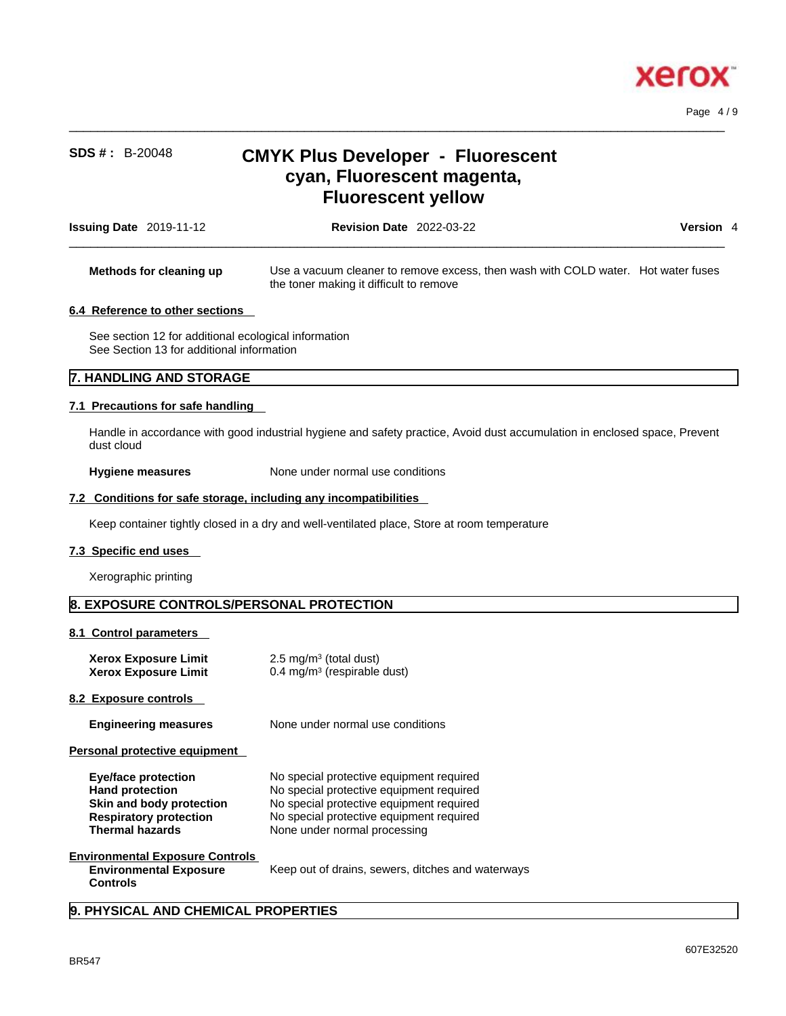

Page 4 / 9

# **SDS # :** B-20048 **CMYK Plus Developer - Fluorescent cyan, Fluorescent magenta, Fluorescent yellow**

 $\_$  ,  $\_$  ,  $\_$  ,  $\_$  ,  $\_$  ,  $\_$  ,  $\_$  ,  $\_$  ,  $\_$  ,  $\_$  ,  $\_$  ,  $\_$  ,  $\_$  ,  $\_$  ,  $\_$  ,  $\_$  ,  $\_$  ,  $\_$  ,  $\_$  ,  $\_$  ,  $\_$  ,  $\_$  ,  $\_$  ,  $\_$  ,  $\_$  ,  $\_$  ,  $\_$  ,  $\_$  ,  $\_$  ,  $\_$  ,  $\_$  ,  $\_$  ,  $\_$  ,  $\_$  ,  $\_$  ,  $\_$  ,  $\_$  ,

| <b>Issuing Date</b> 2019-11-12  | <b>Revision Date 2022-03-22</b>                                                                                              | Version 4 |  |
|---------------------------------|------------------------------------------------------------------------------------------------------------------------------|-----------|--|
| Methods for cleaning up         | Use a vacuum cleaner to remove excess, then wash with COLD water. Hot water fuses<br>the toner making it difficult to remove |           |  |
| 6.4 Reference to other sections |                                                                                                                              |           |  |

See section 12 for additional ecological information See Section 13 for additional information

## **7. HANDLING AND STORAGE**

### **7.1 Precautions for safe handling**

Handle in accordance with good industrial hygiene and safety practice, Avoid dust accumulation in enclosed space, Prevent dust cloud

**Hygiene measures** None under normal use conditions

#### **7.2 Conditions for safe storage, including any incompatibilities**

Keep container tightly closed in a dry and well-ventilated place, Store at room temperature

### **7.3 Specific end uses**

Xerographic printing

# **8. EXPOSURE CONTROLS/PERSONAL PROTECTION**

#### **8.1 Control parameters**

| <b>Xerox Exposure Limit</b><br><b>Xerox Exposure Limit</b>                                                                                  | 2.5 mg/m <sup>3</sup> (total dust)<br>$0.4 \text{ mg/m}^3$ (respirable dust)                                                                                                                                 |
|---------------------------------------------------------------------------------------------------------------------------------------------|--------------------------------------------------------------------------------------------------------------------------------------------------------------------------------------------------------------|
| 8.2 Exposure controls                                                                                                                       |                                                                                                                                                                                                              |
| <b>Engineering measures</b>                                                                                                                 | None under normal use conditions                                                                                                                                                                             |
| Personal protective equipment                                                                                                               |                                                                                                                                                                                                              |
| <b>Eye/face protection</b><br><b>Hand protection</b><br>Skin and body protection<br><b>Respiratory protection</b><br><b>Thermal hazards</b> | No special protective equipment required<br>No special protective equipment required<br>No special protective equipment required<br>No special protective equipment required<br>None under normal processing |
| <b>Environmental Exposure Controls</b>                                                                                                      |                                                                                                                                                                                                              |

| Environmental Exposure Controis |  |
|---------------------------------|--|
| <b>Environmental Exposure</b>   |  |
| <b>Controls</b>                 |  |

**Environmental Exposure** Keep out of drains, sewers, ditches and waterways

## **9. PHYSICAL AND CHEMICAL PROPERTIES**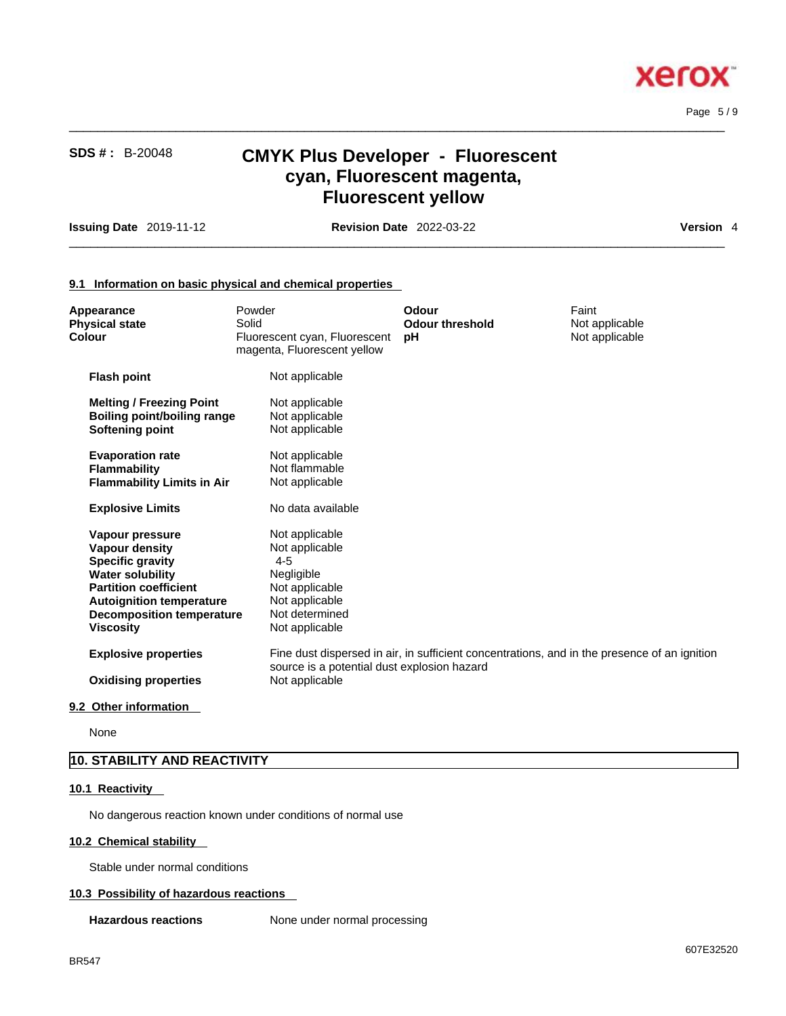

Page 5 / 9

# **SDS # :** B-20048 **CMYK Plus Developer - Fluorescent cyan, Fluorescent magenta, Fluorescent yellow**

 $\_$  ,  $\_$  ,  $\_$  ,  $\_$  ,  $\_$  ,  $\_$  ,  $\_$  ,  $\_$  ,  $\_$  ,  $\_$  ,  $\_$  ,  $\_$  ,  $\_$  ,  $\_$  ,  $\_$  ,  $\_$  ,  $\_$  ,  $\_$  ,  $\_$  ,  $\_$  ,  $\_$  ,  $\_$  ,  $\_$  ,  $\_$  ,  $\_$  ,  $\_$  ,  $\_$  ,  $\_$  ,  $\_$  ,  $\_$  ,  $\_$  ,  $\_$  ,  $\_$  ,  $\_$  ,  $\_$  ,  $\_$  ,  $\_$  ,

**Issuing Date** 2019-11-12 **Revision Date** 2022-03-22 **Version** 4

 $\_$  ,  $\_$  ,  $\_$  ,  $\_$  ,  $\_$  ,  $\_$  ,  $\_$  ,  $\_$  ,  $\_$  ,  $\_$  ,  $\_$  ,  $\_$  ,  $\_$  ,  $\_$  ,  $\_$  ,  $\_$  ,  $\_$  ,  $\_$  ,  $\_$  ,  $\_$  ,  $\_$  ,  $\_$  ,  $\_$  ,  $\_$  ,  $\_$  ,  $\_$  ,  $\_$  ,  $\_$  ,  $\_$  ,  $\_$  ,  $\_$  ,  $\_$  ,  $\_$  ,  $\_$  ,  $\_$  ,  $\_$  ,  $\_$  ,

### **9.1 Information on basic physical and chemical properties**

| Appearance<br><b>Physical state</b><br>Colour                                                                                                                                                                             | Powder<br>Solid<br>Fluorescent cyan, Fluorescent<br>magenta, Fluorescent yellow                                                   | <b>Odour</b><br><b>Odour threshold</b><br>рH | Faint<br>Not applicable<br>Not applicable                                                    |  |
|---------------------------------------------------------------------------------------------------------------------------------------------------------------------------------------------------------------------------|-----------------------------------------------------------------------------------------------------------------------------------|----------------------------------------------|----------------------------------------------------------------------------------------------|--|
| <b>Flash point</b>                                                                                                                                                                                                        | Not applicable                                                                                                                    |                                              |                                                                                              |  |
| <b>Melting / Freezing Point</b><br><b>Boiling point/boiling range</b><br><b>Softening point</b>                                                                                                                           | Not applicable<br>Not applicable<br>Not applicable                                                                                |                                              |                                                                                              |  |
| <b>Evaporation rate</b><br><b>Flammability</b><br><b>Flammability Limits in Air</b>                                                                                                                                       | Not applicable<br>Not flammable<br>Not applicable                                                                                 |                                              |                                                                                              |  |
| <b>Explosive Limits</b>                                                                                                                                                                                                   | No data available                                                                                                                 |                                              |                                                                                              |  |
| Vapour pressure<br><b>Vapour density</b><br><b>Specific gravity</b><br><b>Water solubility</b><br><b>Partition coefficient</b><br><b>Autoignition temperature</b><br><b>Decomposition temperature</b><br><b>Viscosity</b> | Not applicable<br>Not applicable<br>$4 - 5$<br>Negligible<br>Not applicable<br>Not applicable<br>Not determined<br>Not applicable |                                              |                                                                                              |  |
| <b>Explosive properties</b>                                                                                                                                                                                               | source is a potential dust explosion hazard                                                                                       |                                              | Fine dust dispersed in air, in sufficient concentrations, and in the presence of an ignition |  |
| <b>Oxidising properties</b>                                                                                                                                                                                               | Not applicable                                                                                                                    |                                              |                                                                                              |  |
|                                                                                                                                                                                                                           |                                                                                                                                   |                                              |                                                                                              |  |

### **9.2 Other information**

None

# **10. STABILITY AND REACTIVITY**

## **10.1 Reactivity**

No dangerous reaction known under conditions of normal use

#### **10.2 Chemical stability**

Stable under normal conditions

### **10.3 Possibility of hazardous reactions**

**Hazardous reactions** None under normal processing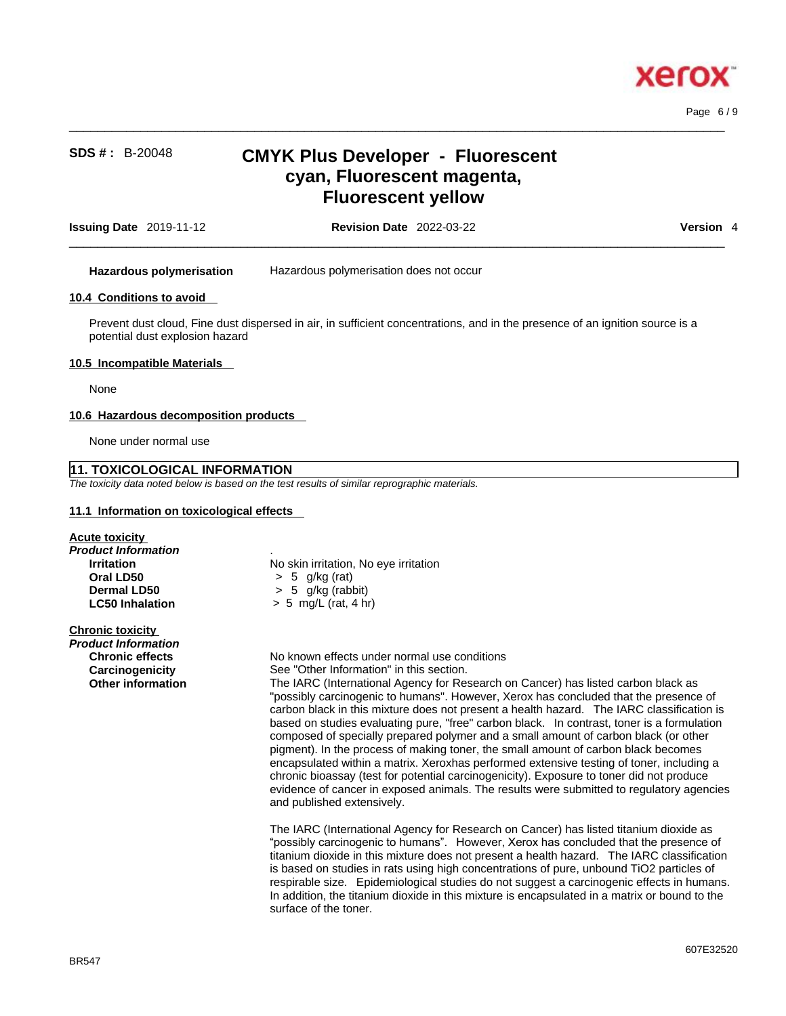

 $\_$  ,  $\_$  ,  $\_$  ,  $\_$  ,  $\_$  ,  $\_$  ,  $\_$  ,  $\_$  ,  $\_$  ,  $\_$  ,  $\_$  ,  $\_$  ,  $\_$  ,  $\_$  ,  $\_$  ,  $\_$  ,  $\_$  ,  $\_$  ,  $\_$  ,  $\_$  ,  $\_$  ,  $\_$  ,  $\_$  ,  $\_$  ,  $\_$  ,  $\_$  ,  $\_$  ,  $\_$  ,  $\_$  ,  $\_$  ,  $\_$  ,  $\_$  ,  $\_$  ,  $\_$  ,  $\_$  ,  $\_$  ,  $\_$  , Page 6 / 9

# **SDS # :** B-20048 **CMYK Plus Developer - Fluorescent cyan, Fluorescent magenta, Fluorescent yellow**

| 2019-11<br><b>Issuing</b><br>Date<br>-- | $\sim$<br>. ററ<br>$2022 - 0$<br>Date<br>Revisior<br>-us-zz | Version |
|-----------------------------------------|------------------------------------------------------------|---------|
|                                         |                                                            |         |

**Hazardous polymerisation** Hazardous polymerisation does not occur

### **10.4 Conditions to avoid**

Prevent dust cloud, Fine dust dispersed in air, in sufficient concentrations, and in the presence of an ignition source is a potential dust explosion hazard

#### **10.5 Incompatible Materials**

None

#### **10.6 Hazardous decomposition products**

None under normal use

### **11. TOXICOLOGICAL INFORMATION**

*The toxicity data noted below is based on the test results of similar reprographic materials.* 

#### **11.1 Information on toxicological effects**

| Acute toxicity          |                |
|-------------------------|----------------|
| Product Information     | ٠              |
| <b>Irritation</b>       | No skin irrita |
| Oral LD50               | $> 5$ g/kg     |
| <b>Dermal LD50</b>      | $> 5$ g/kg (   |
| <b>LC50 Inhalation</b>  | $> 5$ mg/L (i  |
| <b>Chronic toxicity</b> |                |

*Product Information* 

**No skin irritation, No eye irritation Oral LD50** > 5 g/kg (rat) **Dermal LD50** > 5 g/kg (rabbit) **LC50 Inhalation** > 5 mg/L (rat, 4 hr)

**Chronic effects** No known effects under normal use conditions **Carcinogenicity** See "Other Information" in this section.

**Other information** The IARC (International Agency for Research on Cancer) has listed carbon black as "possibly carcinogenic to humans". However, Xerox has concluded that the presence of carbon black in this mixture does not present a health hazard. The IARC classification is based on studies evaluating pure, "free" carbon black. In contrast, toner is a formulation composed of specially prepared polymer and a small amount of carbon black (or other pigment). In the process of making toner, the small amount of carbon black becomes encapsulated within a matrix. Xeroxhas performed extensive testing of toner, including a chronic bioassay (test for potential carcinogenicity). Exposure to toner did not produce evidence of cancer in exposed animals. The results were submitted to regulatory agencies and published extensively.

> The IARC (International Agency for Research on Cancer) has listed titanium dioxide as "possibly carcinogenic to humans". However, Xerox has concluded that the presence of titanium dioxide in this mixture does not present a health hazard. The IARC classification is based on studies in rats using high concentrations of pure, unbound TiO2 particles of respirable size. Epidemiological studies do not suggest a carcinogenic effects in humans. In addition, the titanium dioxide in this mixture is encapsulated in a matrix or bound to the surface of the toner.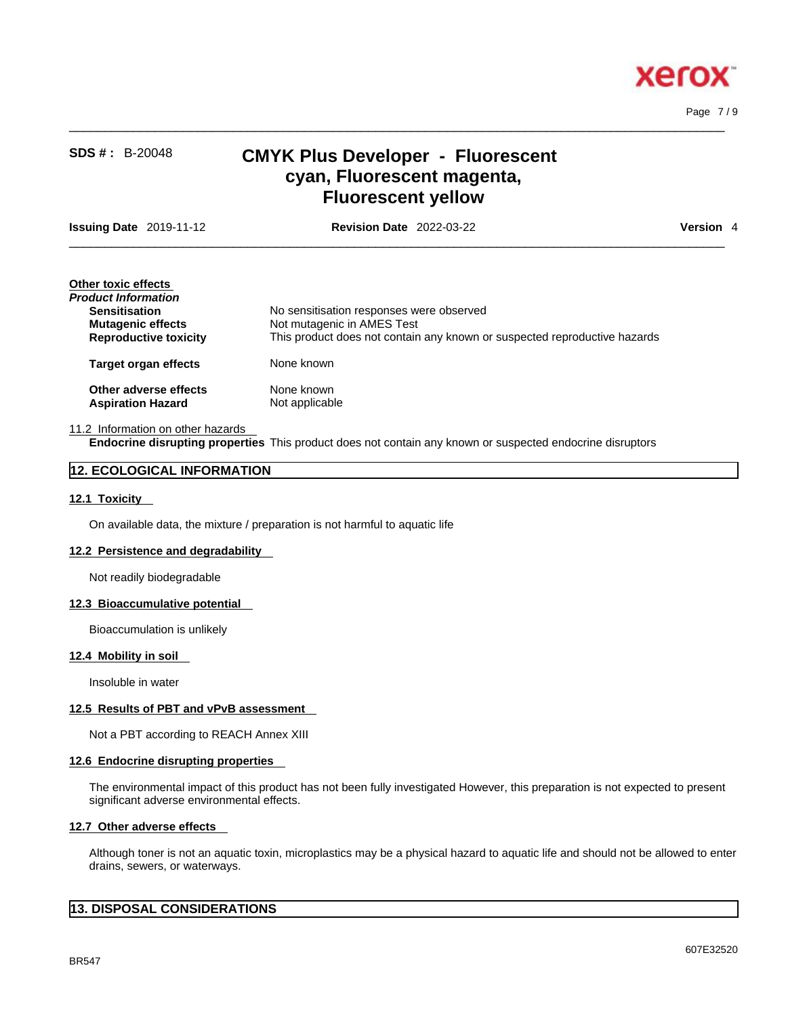

Page 7 / 9

# **SDS # :** B-20048 **CMYK Plus Developer - Fluorescent cyan, Fluorescent magenta, Fluorescent yellow**

 $\_$  ,  $\_$  ,  $\_$  ,  $\_$  ,  $\_$  ,  $\_$  ,  $\_$  ,  $\_$  ,  $\_$  ,  $\_$  ,  $\_$  ,  $\_$  ,  $\_$  ,  $\_$  ,  $\_$  ,  $\_$  ,  $\_$  ,  $\_$  ,  $\_$  ,  $\_$  ,  $\_$  ,  $\_$  ,  $\_$  ,  $\_$  ,  $\_$  ,  $\_$  ,  $\_$  ,  $\_$  ,  $\_$  ,  $\_$  ,  $\_$  ,  $\_$  ,  $\_$  ,  $\_$  ,  $\_$  ,  $\_$  ,  $\_$  ,

**Issuing Date** 2019-11-12 **Revision Date** 2022-03-22 **Version** 4

 $\_$  ,  $\_$  ,  $\_$  ,  $\_$  ,  $\_$  ,  $\_$  ,  $\_$  ,  $\_$  ,  $\_$  ,  $\_$  ,  $\_$  ,  $\_$  ,  $\_$  ,  $\_$  ,  $\_$  ,  $\_$  ,  $\_$  ,  $\_$  ,  $\_$  ,  $\_$  ,  $\_$  ,  $\_$  ,  $\_$  ,  $\_$  ,  $\_$  ,  $\_$  ,  $\_$  ,  $\_$  ,  $\_$  ,  $\_$  ,  $\_$  ,  $\_$  ,  $\_$  ,  $\_$  ,  $\_$  ,  $\_$  ,  $\_$  ,

| Other toxic effects          |                                                                           |
|------------------------------|---------------------------------------------------------------------------|
| Product Information          |                                                                           |
| <b>Sensitisation</b>         | No sensitisation responses were observed                                  |
| <b>Mutagenic effects</b>     | Not mutagenic in AMES Test                                                |
| <b>Reproductive toxicity</b> | This product does not contain any known or suspected reproductive hazards |
| <b>Target organ effects</b>  | None known                                                                |
| Other adverse effects        | None known                                                                |
| <b>Aspiration Hazard</b>     | Not applicable                                                            |
|                              |                                                                           |

#### 11.2 Information on other hazards **Endocrine disrupting properties** This product does not contain any known or suspected endocrine disruptors

## **12. ECOLOGICAL INFORMATION**

### **12.1 Toxicity**

On available data, the mixture / preparation is not harmful to aquatic life

#### **12.2 Persistence and degradability**

Not readily biodegradable

#### **12.3 Bioaccumulative potential**

Bioaccumulation is unlikely

#### **12.4 Mobility in soil**

Insoluble in water

### **12.5 Results of PBT and vPvB assessment**

Not a PBT according to REACH Annex XIII

#### **12.6 Endocrine disrupting properties**

The environmental impact of this product has not been fully investigated However, this preparation is not expected to present significant adverse environmental effects.

#### **12.7 Other adverse effects**

Although toner is not an aquatic toxin, microplastics may be a physical hazard to aquatic life and should not be allowed to enter drains, sewers, or waterways.

# **13. DISPOSAL CONSIDERATIONS**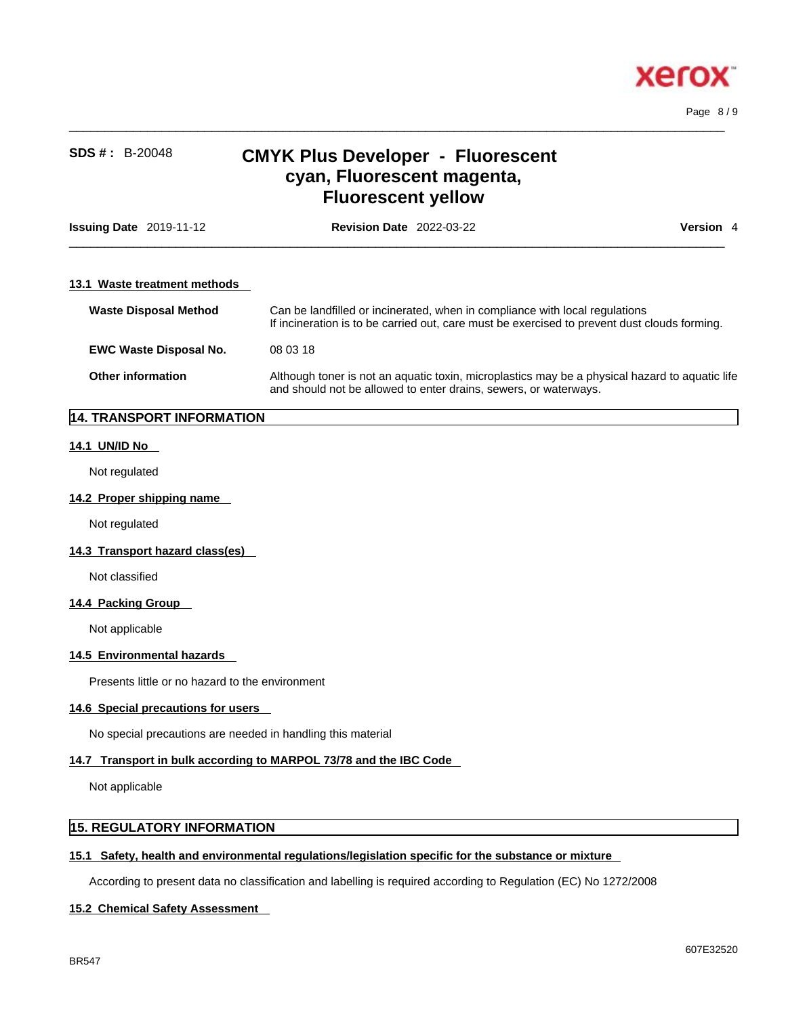

 $\_$  ,  $\_$  ,  $\_$  ,  $\_$  ,  $\_$  ,  $\_$  ,  $\_$  ,  $\_$  ,  $\_$  ,  $\_$  ,  $\_$  ,  $\_$  ,  $\_$  ,  $\_$  ,  $\_$  ,  $\_$  ,  $\_$  ,  $\_$  ,  $\_$  ,  $\_$  ,  $\_$  ,  $\_$  ,  $\_$  ,  $\_$  ,  $\_$  ,  $\_$  ,  $\_$  ,  $\_$  ,  $\_$  ,  $\_$  ,  $\_$  ,  $\_$  ,  $\_$  ,  $\_$  ,  $\_$  ,  $\_$  ,  $\_$  , Page 8 / 9

# **SDS # :** B-20048 **CMYK Plus Developer - Fluorescent cyan, Fluorescent magenta, Fluorescent yellow**

| <b>Issuing Date</b> 2019-11-12 | <b>Revision Date 2022-03-22</b><br><b>Version</b> 4                                                                                                                         |
|--------------------------------|-----------------------------------------------------------------------------------------------------------------------------------------------------------------------------|
| 13.1 Waste treatment methods   |                                                                                                                                                                             |
| <b>Waste Disposal Method</b>   | Can be landfilled or incinerated, when in compliance with local regulations<br>If incineration is to be carried out, care must be exercised to prevent dust clouds forming. |
| <b>EWC Waste Disposal No.</b>  | 08 03 18                                                                                                                                                                    |
| <b>Other information</b>       | Although toner is not an aquatic toxin, microplastics may be a physical hazard to aquatic life<br>and should not be allowed to enter drains, sewers, or waterways.          |

# **14. TRANSPORT INFORMATION**

## **14.1 UN/ID No**

Not regulated

#### **14.2 Proper shipping name**

Not regulated

### **14.3 Transport hazard class(es)**

Not classified

### **14.4 Packing Group**

Not applicable

## **14.5 Environmental hazards**

Presents little or no hazard to the environment

### **14.6 Special precautions for users**

No special precautions are needed in handling this material

# **14.7 Transport in bulk according to MARPOL 73/78 and the IBC Code**

Not applicable

# **15. REGULATORY INFORMATION**

### **15.1 Safety, health and environmental regulations/legislation specific for the substance or mixture**

According to present data no classification and labelling is required according to Regulation (EC) No 1272/2008

## **15.2 Chemical Safety Assessment**